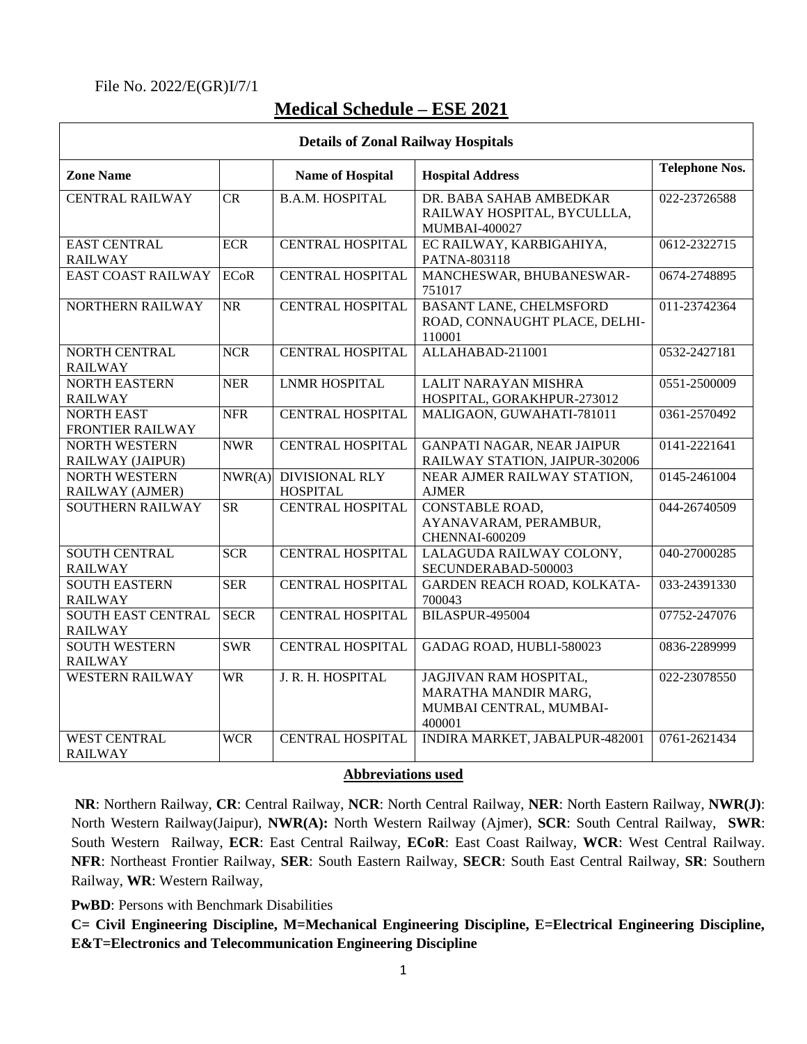## File No. 2022/E(GR)I/7/1

Γ

## **Medical Schedule – ESE 2021**

| <b>Details of Zonal Railway Hospitals</b>   |                        |                                          |                                                                                     |                       |  |  |
|---------------------------------------------|------------------------|------------------------------------------|-------------------------------------------------------------------------------------|-----------------------|--|--|
| <b>Zone Name</b>                            |                        | <b>Name of Hospital</b>                  | <b>Hospital Address</b>                                                             | <b>Telephone Nos.</b> |  |  |
| <b>CENTRAL RAILWAY</b>                      | CR                     | <b>B.A.M. HOSPITAL</b>                   | DR. BABA SAHAB AMBEDKAR<br>RAILWAY HOSPITAL, BYCULLLA,<br>MUMBAI-400027             | 022-23726588          |  |  |
| <b>EAST CENTRAL</b><br><b>RAILWAY</b>       | <b>ECR</b>             | <b>CENTRAL HOSPITAL</b>                  | EC RAILWAY, KARBIGAHIYA,<br>PATNA-803118                                            | 0612-2322715          |  |  |
| <b>EAST COAST RAILWAY</b>                   | <b>ECoR</b>            | <b>CENTRAL HOSPITAL</b>                  | MANCHESWAR, BHUBANESWAR-<br>751017                                                  | 0674-2748895          |  |  |
| NORTHERN RAILWAY                            | <b>NR</b>              | <b>CENTRAL HOSPITAL</b>                  | <b>BASANT LANE, CHELMSFORD</b><br>ROAD, CONNAUGHT PLACE, DELHI-<br>110001           | 011-23742364          |  |  |
| NORTH CENTRAL<br><b>RAILWAY</b>             | <b>NCR</b>             | <b>CENTRAL HOSPITAL</b>                  | ALLAHABAD-211001                                                                    | 0532-2427181          |  |  |
| <b>NORTH EASTERN</b><br><b>RAILWAY</b>      | <b>NER</b>             | <b>LNMR HOSPITAL</b>                     | <b>LALIT NARAYAN MISHRA</b><br>HOSPITAL, GORAKHPUR-273012                           | 0551-2500009          |  |  |
| <b>NORTH EAST</b><br>FRONTIER RAILWAY       | <b>NFR</b>             | <b>CENTRAL HOSPITAL</b>                  | MALIGAON, GUWAHATI-781011                                                           | 0361-2570492          |  |  |
| <b>NORTH WESTERN</b><br>RAILWAY (JAIPUR)    | <b>NWR</b>             | <b>CENTRAL HOSPITAL</b>                  | <b>GANPATI NAGAR, NEAR JAIPUR</b><br>RAILWAY STATION, JAIPUR-302006                 | 0141-2221641          |  |  |
| <b>NORTH WESTERN</b><br>RAILWAY (AJMER)     | NWR(A)                 | <b>DIVISIONAL RLY</b><br><b>HOSPITAL</b> | NEAR AJMER RAILWAY STATION,<br><b>AJMER</b>                                         | 0145-2461004          |  |  |
| <b>SOUTHERN RAILWAY</b>                     | $\overline{\text{SR}}$ | <b>CENTRAL HOSPITAL</b>                  | <b>CONSTABLE ROAD,</b><br>AYANAVARAM, PERAMBUR,<br>CHENNAI-600209                   | 044-26740509          |  |  |
| <b>SOUTH CENTRAL</b><br><b>RAILWAY</b>      | <b>SCR</b>             | <b>CENTRAL HOSPITAL</b>                  | LALAGUDA RAILWAY COLONY,<br>SECUNDERABAD-500003                                     | 040-27000285          |  |  |
| <b>SOUTH EASTERN</b><br><b>RAILWAY</b>      | <b>SER</b>             | <b>CENTRAL HOSPITAL</b>                  | GARDEN REACH ROAD, KOLKATA-<br>700043                                               | 033-24391330          |  |  |
| <b>SOUTH EAST CENTRAL</b><br><b>RAILWAY</b> | <b>SECR</b>            | <b>CENTRAL HOSPITAL</b>                  | <b>BILASPUR-495004</b>                                                              | 07752-247076          |  |  |
| <b>SOUTH WESTERN</b><br><b>RAILWAY</b>      | <b>SWR</b>             | <b>CENTRAL HOSPITAL</b>                  | GADAG ROAD, HUBLI-580023                                                            | 0836-2289999          |  |  |
| <b>WESTERN RAILWAY</b>                      | WR                     | J. R. H. HOSPITAL                        | JAGJIVAN RAM HOSPITAL,<br>MARATHA MANDIR MARG,<br>MUMBAI CENTRAL, MUMBAI-<br>400001 | 022-23078550          |  |  |
| <b>WEST CENTRAL</b><br><b>RAILWAY</b>       | <b>WCR</b>             | <b>CENTRAL HOSPITAL</b>                  | INDIRA MARKET, JABALPUR-482001                                                      | 0761-2621434          |  |  |

## **Abbreviations used**

**NR**: Northern Railway, **CR**: Central Railway, **NCR**: North Central Railway, **NER**: North Eastern Railway, **NWR(J)**: North Western Railway(Jaipur), **NWR(A):** North Western Railway (Ajmer), **SCR**: South Central Railway, **SWR**: South Western Railway, **ECR**: East Central Railway, **ECoR**: East Coast Railway, **WCR**: West Central Railway. **NFR**: Northeast Frontier Railway, **SER**: South Eastern Railway, **SECR**: South East Central Railway, **SR**: Southern Railway, **WR**: Western Railway,

**PwBD**: Persons with Benchmark Disabilities

**C= Civil Engineering Discipline, M=Mechanical Engineering Discipline, E=Electrical Engineering Discipline, E&T=Electronics and Telecommunication Engineering Discipline**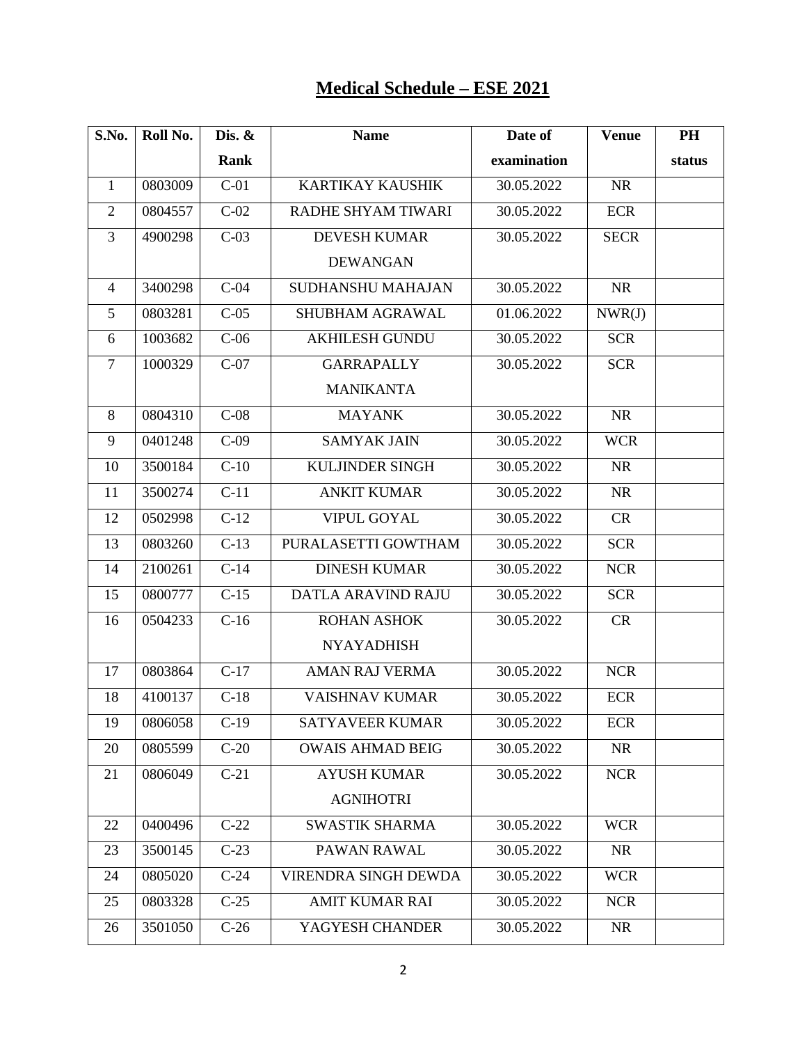## **Medical Schedule – ESE 2021**

| S.No.          | Roll No. | Dis. &            | <b>Name</b>             | Date of     | <b>Venue</b> | PH     |
|----------------|----------|-------------------|-------------------------|-------------|--------------|--------|
|                |          | Rank              |                         | examination |              | status |
| 1              | 0803009  | $C-01$            | <b>KARTIKAY KAUSHIK</b> | 30.05.2022  | <b>NR</b>    |        |
| $\overline{2}$ | 0804557  | $C-02$            | RADHE SHYAM TIWARI      | 30.05.2022  | <b>ECR</b>   |        |
| 3              | 4900298  | $C-03$            | <b>DEVESH KUMAR</b>     | 30.05.2022  | <b>SECR</b>  |        |
|                |          |                   | <b>DEWANGAN</b>         |             |              |        |
| $\overline{4}$ | 3400298  | $C-04$            | SUDHANSHU MAHAJAN       | 30.05.2022  | <b>NR</b>    |        |
| 5              | 0803281  | $C-05$            | SHUBHAM AGRAWAL         | 01.06.2022  | NWR(J)       |        |
| 6              | 1003682  | $C-06$            | <b>AKHILESH GUNDU</b>   | 30.05.2022  | <b>SCR</b>   |        |
| $\overline{7}$ | 1000329  | $C-07$            | <b>GARRAPALLY</b>       | 30.05.2022  | <b>SCR</b>   |        |
|                |          |                   | <b>MANIKANTA</b>        |             |              |        |
| 8              | 0804310  | $C-08$            | <b>MAYANK</b>           | 30.05.2022  | <b>NR</b>    |        |
| 9              | 0401248  | $C-09$            | <b>SAMYAK JAIN</b>      | 30.05.2022  | <b>WCR</b>   |        |
| 10             | 3500184  | $C-10$            | KULJINDER SINGH         | 30.05.2022  | <b>NR</b>    |        |
| 11             | 3500274  | $C-11$            | <b>ANKIT KUMAR</b>      | 30.05.2022  | <b>NR</b>    |        |
| 12             | 0502998  | $\overline{C-12}$ | <b>VIPUL GOYAL</b>      | 30.05.2022  | CR           |        |
| 13             | 0803260  | $C-13$            | PURALASETTI GOWTHAM     | 30.05.2022  | <b>SCR</b>   |        |
| 14             | 2100261  | $C-14$            | <b>DINESH KUMAR</b>     | 30.05.2022  | <b>NCR</b>   |        |
| 15             | 0800777  | $C-15$            | DATLA ARAVIND RAJU      | 30.05.2022  | <b>SCR</b>   |        |
| 16             | 0504233  | $C-16$            | <b>ROHAN ASHOK</b>      | 30.05.2022  | CR           |        |
|                |          |                   | <b>NYAYADHISH</b>       |             |              |        |
| 17             | 0803864  | $C-17$            | AMAN RAJ VERMA          | 30.05.2022  | <b>NCR</b>   |        |
| 18             | 4100137  | $C-18$            | <b>VAISHNAV KUMAR</b>   | 30.05.2022  | <b>ECR</b>   |        |
| 19             | 0806058  | $C-19$            | <b>SATYAVEER KUMAR</b>  | 30.05.2022  | <b>ECR</b>   |        |
| 20             | 0805599  | $C-20$            | <b>OWAIS AHMAD BEIG</b> | 30.05.2022  | <b>NR</b>    |        |
| 21             | 0806049  | $C-21$            | <b>AYUSH KUMAR</b>      | 30.05.2022  | <b>NCR</b>   |        |
|                |          |                   | <b>AGNIHOTRI</b>        |             |              |        |
| 22             | 0400496  | $C-22$            | <b>SWASTIK SHARMA</b>   | 30.05.2022  | <b>WCR</b>   |        |
| 23             | 3500145  | $C-23$            | PAWAN RAWAL             | 30.05.2022  | <b>NR</b>    |        |
| 24             | 0805020  | $C-24$            | VIRENDRA SINGH DEWDA    | 30.05.2022  | <b>WCR</b>   |        |
| 25             | 0803328  | $C-25$            | <b>AMIT KUMAR RAI</b>   | 30.05.2022  | <b>NCR</b>   |        |
| 26             | 3501050  | $C-26$            | YAGYESH CHANDER         | 30.05.2022  | <b>NR</b>    |        |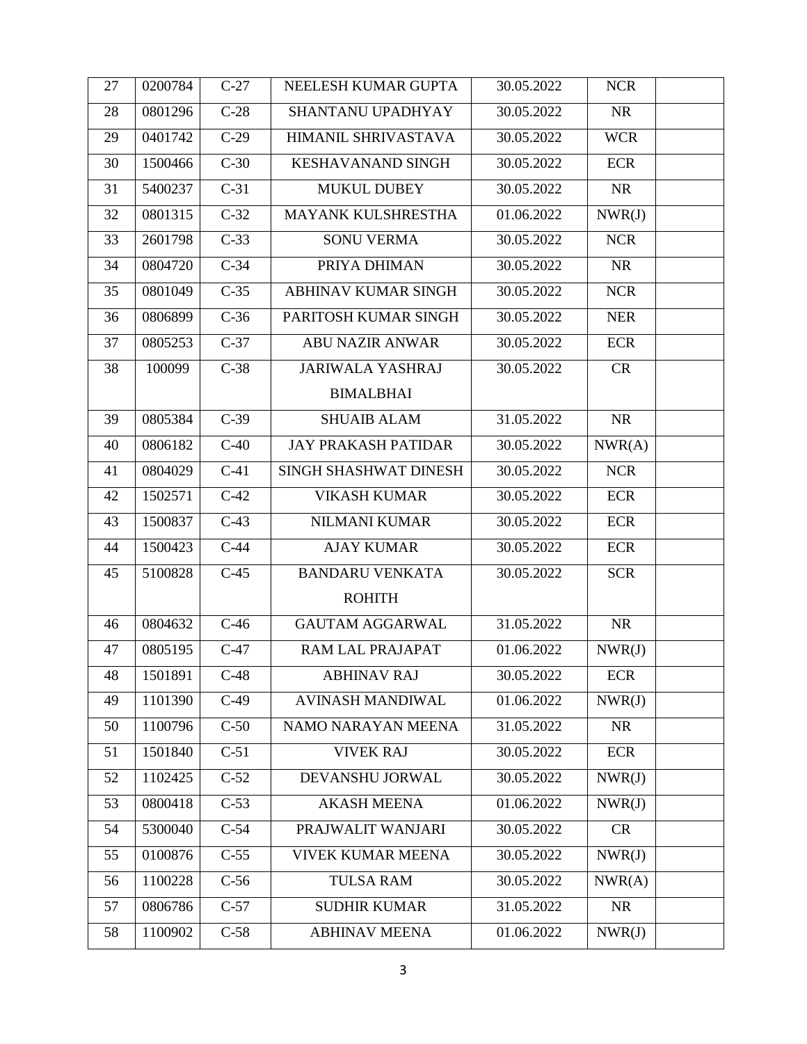| 27 | 0200784 | $C-27$             | NEELESH KUMAR GUPTA        | 30.05.2022 | <b>NCR</b> |  |
|----|---------|--------------------|----------------------------|------------|------------|--|
| 28 | 0801296 | $C-28$             | SHANTANU UPADHYAY          | 30.05.2022 | <b>NR</b>  |  |
| 29 | 0401742 | $C-29$             | HIMANIL SHRIVASTAVA        | 30.05.2022 | <b>WCR</b> |  |
| 30 | 1500466 | $C-30$             | <b>KESHAVANAND SINGH</b>   | 30.05.2022 | <b>ECR</b> |  |
| 31 | 5400237 | $C-31$             | <b>MUKUL DUBEY</b>         | 30.05.2022 | <b>NR</b>  |  |
| 32 | 0801315 | $C-32$             | <b>MAYANK KULSHRESTHA</b>  | 01.06.2022 | NWR(J)     |  |
| 33 | 2601798 | $C-33$             | <b>SONU VERMA</b>          | 30.05.2022 | <b>NCR</b> |  |
| 34 | 0804720 | $C-34$             | PRIYA DHIMAN               | 30.05.2022 | <b>NR</b>  |  |
| 35 | 0801049 | $C-35$             | <b>ABHINAV KUMAR SINGH</b> | 30.05.2022 | <b>NCR</b> |  |
| 36 | 0806899 | $C-36$             | PARITOSH KUMAR SINGH       | 30.05.2022 | <b>NER</b> |  |
| 37 | 0805253 | $C-37$             | <b>ABU NAZIR ANWAR</b>     | 30.05.2022 | <b>ECR</b> |  |
| 38 | 100099  | $C-38$             | <b>JARIWALA YASHRAJ</b>    | 30.05.2022 | CR         |  |
|    |         |                    | <b>BIMALBHAI</b>           |            |            |  |
| 39 | 0805384 | $C-39$             | <b>SHUAIB ALAM</b>         | 31.05.2022 | <b>NR</b>  |  |
| 40 | 0806182 | $C-40$             | <b>JAY PRAKASH PATIDAR</b> | 30.05.2022 | NWR(A)     |  |
| 41 | 0804029 | $C-41$             | SINGH SHASHWAT DINESH      | 30.05.2022 | <b>NCR</b> |  |
| 42 | 1502571 | $\overline{C}$ -42 | <b>VIKASH KUMAR</b>        | 30.05.2022 | <b>ECR</b> |  |
| 43 | 1500837 | $C-43$             | <b>NILMANI KUMAR</b>       | 30.05.2022 | <b>ECR</b> |  |
| 44 | 1500423 | $C-44$             | <b>AJAY KUMAR</b>          | 30.05.2022 | ECR        |  |
| 45 | 5100828 | $C-45$             | <b>BANDARU VENKATA</b>     | 30.05.2022 | <b>SCR</b> |  |
|    |         |                    | <b>ROHITH</b>              |            |            |  |
| 46 | 0804632 | $C-46$             | <b>GAUTAM AGGARWAL</b>     | 31.05.2022 | <b>NR</b>  |  |
| 47 | 0805195 | $C-47$             | RAM LAL PRAJAPAT           | 01.06.2022 | NWR(J)     |  |
| 48 | 1501891 | $C-48$             | <b>ABHINAV RAJ</b>         | 30.05.2022 | <b>ECR</b> |  |
| 49 | 1101390 | $C-49$             | <b>AVINASH MANDIWAL</b>    | 01.06.2022 | NWR(J)     |  |
| 50 | 1100796 | $C-50$             | NAMO NARAYAN MEENA         | 31.05.2022 | <b>NR</b>  |  |
| 51 | 1501840 | $C-51$             | <b>VIVEK RAJ</b>           | 30.05.2022 | <b>ECR</b> |  |
| 52 | 1102425 | $C-52$             | DEVANSHU JORWAL            | 30.05.2022 | NWR(J)     |  |
| 53 | 0800418 | $C-53$             | <b>AKASH MEENA</b>         | 01.06.2022 | NWR(J)     |  |
| 54 | 5300040 | $C-54$             | PRAJWALIT WANJARI          | 30.05.2022 | <b>CR</b>  |  |
| 55 | 0100876 | $C-55$             | <b>VIVEK KUMAR MEENA</b>   | 30.05.2022 | NWR(J)     |  |
| 56 | 1100228 | $C-56$             | <b>TULSA RAM</b>           | 30.05.2022 | NWR(A)     |  |
| 57 | 0806786 | $C-57$             | <b>SUDHIR KUMAR</b>        | 31.05.2022 | <b>NR</b>  |  |
| 58 | 1100902 | $C-58$             | <b>ABHINAV MEENA</b>       | 01.06.2022 | NWR(J)     |  |
|    |         |                    |                            |            |            |  |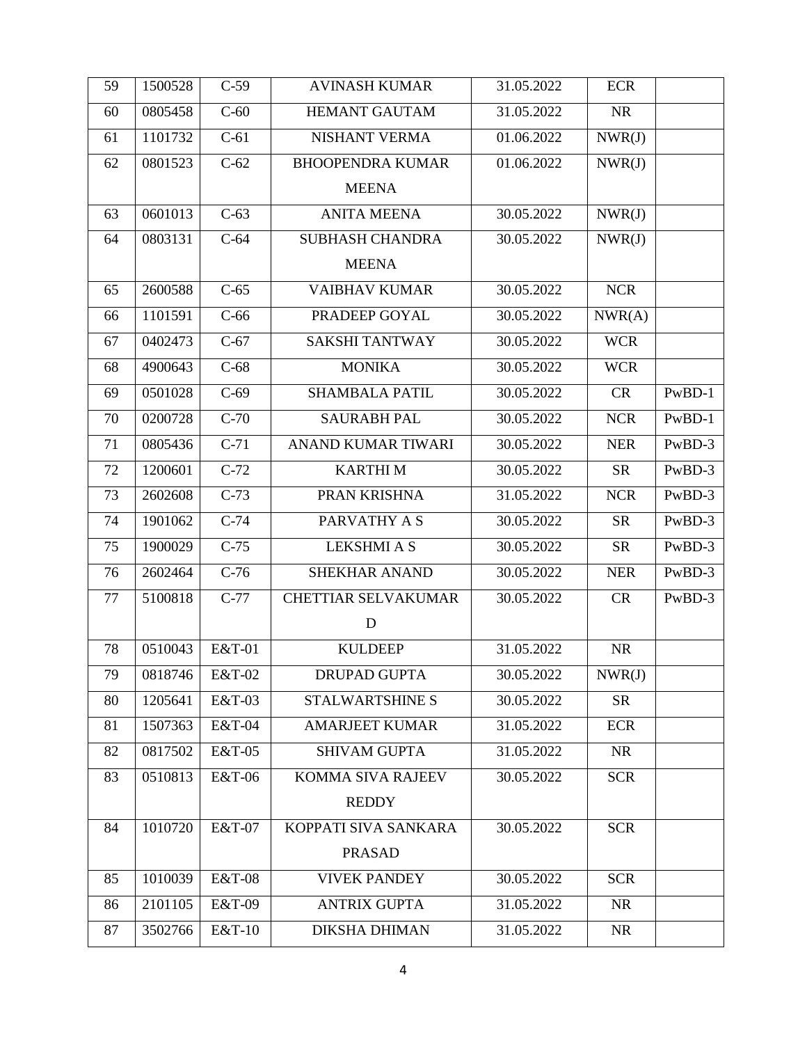| 59 | 1500528 | $C-59$            | <b>AVINASH KUMAR</b>       | 31.05.2022 | <b>ECR</b> |          |
|----|---------|-------------------|----------------------------|------------|------------|----------|
| 60 | 0805458 | $C-60$            | <b>HEMANT GAUTAM</b>       | 31.05.2022 | <b>NR</b>  |          |
| 61 | 1101732 | $C-61$            | NISHANT VERMA              | 01.06.2022 | NWR(J)     |          |
| 62 | 0801523 | $C-62$            | <b>BHOOPENDRA KUMAR</b>    | 01.06.2022 | NWR(J)     |          |
|    |         |                   | <b>MEENA</b>               |            |            |          |
| 63 | 0601013 | $C-63$            | <b>ANITA MEENA</b>         | 30.05.2022 | NWR(J)     |          |
| 64 | 0803131 | $C-64$            | <b>SUBHASH CHANDRA</b>     | 30.05.2022 | NWR(J)     |          |
|    |         |                   | <b>MEENA</b>               |            |            |          |
| 65 | 2600588 | $C-65$            | <b>VAIBHAV KUMAR</b>       | 30.05.2022 | <b>NCR</b> |          |
| 66 | 1101591 | $C-66$            | PRADEEP GOYAL              | 30.05.2022 | NWR(A)     |          |
| 67 | 0402473 | $C-67$            | <b>SAKSHI TANTWAY</b>      | 30.05.2022 | <b>WCR</b> |          |
| 68 | 4900643 | $C-68$            | <b>MONIKA</b>              | 30.05.2022 | <b>WCR</b> |          |
| 69 | 0501028 | $C-69$            | <b>SHAMBALA PATIL</b>      | 30.05.2022 | <b>CR</b>  | $PwBD-1$ |
| 70 | 0200728 | $C-70$            | <b>SAURABH PAL</b>         | 30.05.2022 | <b>NCR</b> | $PwBD-1$ |
| 71 | 0805436 | $C-71$            | <b>ANAND KUMAR TIWARI</b>  | 30.05.2022 | <b>NER</b> | PwBD-3   |
| 72 | 1200601 | $C-72$            | <b>KARTHIM</b>             | 30.05.2022 | <b>SR</b>  | PwBD-3   |
| 73 | 2602608 | $C-73$            | PRAN KRISHNA               | 31.05.2022 | <b>NCR</b> | PwBD-3   |
| 74 | 1901062 | $\overline{C-74}$ | PARVATHY A S               | 30.05.2022 | <b>SR</b>  | PwBD-3   |
| 75 | 1900029 | $C-75$            | <b>LEKSHMI A S</b>         | 30.05.2022 | <b>SR</b>  | PwBD-3   |
| 76 | 2602464 | $C-76$            | <b>SHEKHAR ANAND</b>       | 30.05.2022 | <b>NER</b> | PwBD-3   |
| 77 | 5100818 | $C-77$            | <b>CHETTIAR SELVAKUMAR</b> | 30.05.2022 | CR         | PwBD-3   |
|    |         |                   | $\mathbf D$                |            |            |          |
| 78 | 0510043 | E&T-01            | <b>KULDEEP</b>             | 31.05.2022 | <b>NR</b>  |          |
| 79 | 0818746 | <b>E&amp;T-02</b> | <b>DRUPAD GUPTA</b>        | 30.05.2022 | NWR(J)     |          |
| 80 | 1205641 | E&T-03            | <b>STALWARTSHINE S</b>     | 30.05.2022 | <b>SR</b>  |          |
| 81 | 1507363 | <b>E&amp;T-04</b> | <b>AMARJEET KUMAR</b>      | 31.05.2022 | <b>ECR</b> |          |
| 82 | 0817502 | E&T-05            | <b>SHIVAM GUPTA</b>        | 31.05.2022 | <b>NR</b>  |          |
| 83 | 0510813 | E&T-06            | KOMMA SIVA RAJEEV          | 30.05.2022 | <b>SCR</b> |          |
|    |         |                   | <b>REDDY</b>               |            |            |          |
| 84 | 1010720 | E&T-07            | KOPPATI SIVA SANKARA       | 30.05.2022 | <b>SCR</b> |          |
|    |         |                   | <b>PRASAD</b>              |            |            |          |
| 85 | 1010039 | <b>E&amp;T-08</b> | <b>VIVEK PANDEY</b>        | 30.05.2022 | <b>SCR</b> |          |
| 86 | 2101105 | E&T-09            | <b>ANTRIX GUPTA</b>        | 31.05.2022 | <b>NR</b>  |          |
| 87 | 3502766 | E&T-10            | <b>DIKSHA DHIMAN</b>       | 31.05.2022 | <b>NR</b>  |          |
|    |         |                   |                            |            |            |          |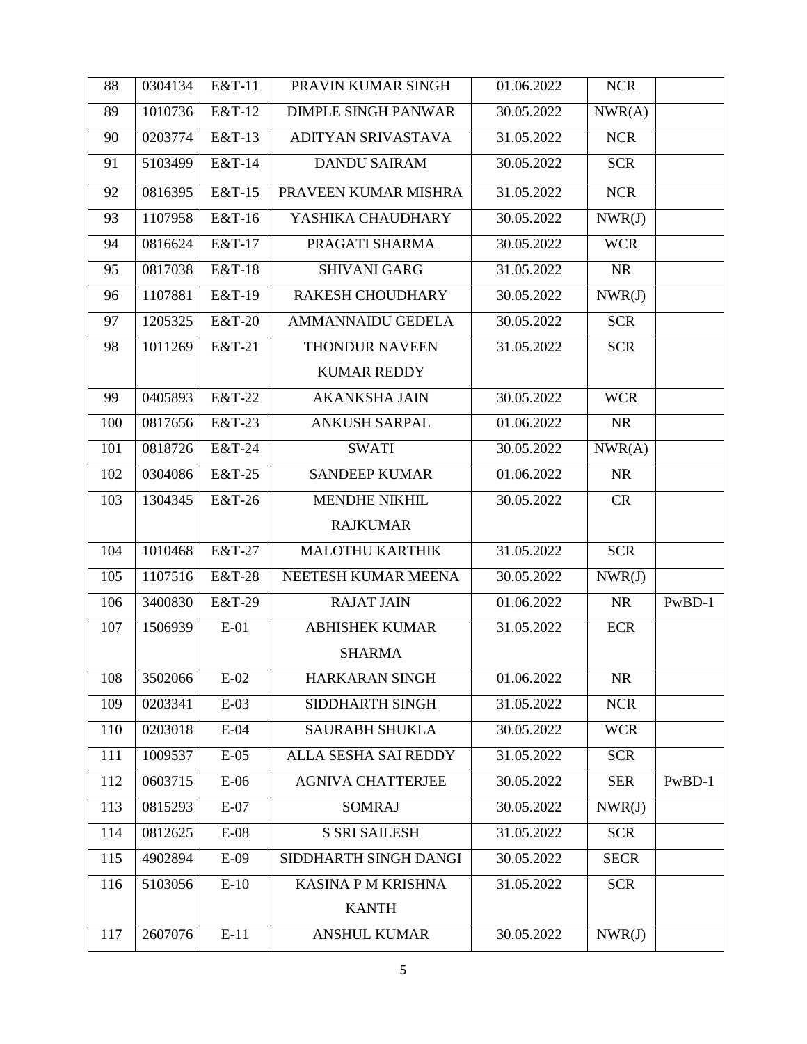| 88  | 0304134 | E&T-11 | PRAVIN KUMAR SINGH          | 01.06.2022 | <b>NCR</b>  |          |
|-----|---------|--------|-----------------------------|------------|-------------|----------|
| 89  | 1010736 | E&T-12 | <b>DIMPLE SINGH PANWAR</b>  | 30.05.2022 | NWR(A)      |          |
| 90  | 0203774 | E&T-13 | ADITYAN SRIVASTAVA          | 31.05.2022 | <b>NCR</b>  |          |
| 91  | 5103499 | E&T-14 | <b>DANDU SAIRAM</b>         | 30.05.2022 | <b>SCR</b>  |          |
| 92  | 0816395 | E&T-15 | PRAVEEN KUMAR MISHRA        | 31.05.2022 | <b>NCR</b>  |          |
| 93  | 1107958 | E&T-16 | YASHIKA CHAUDHARY           | 30.05.2022 | NWR(J)      |          |
| 94  | 0816624 | E&T-17 | PRAGATI SHARMA              | 30.05.2022 | <b>WCR</b>  |          |
| 95  | 0817038 | E&T-18 | <b>SHIVANI GARG</b>         | 31.05.2022 | <b>NR</b>   |          |
| 96  | 1107881 | E&T-19 | RAKESH CHOUDHARY            | 30.05.2022 | NWR(J)      |          |
| 97  | 1205325 | E&T-20 | <b>AMMANNAIDU GEDELA</b>    | 30.05.2022 | <b>SCR</b>  |          |
| 98  | 1011269 | E&T-21 | <b>THONDUR NAVEEN</b>       | 31.05.2022 | <b>SCR</b>  |          |
|     |         |        | <b>KUMAR REDDY</b>          |            |             |          |
| 99  | 0405893 | E&T-22 | <b>AKANKSHA JAIN</b>        | 30.05.2022 | <b>WCR</b>  |          |
| 100 | 0817656 | E&T-23 | <b>ANKUSH SARPAL</b>        | 01.06.2022 | <b>NR</b>   |          |
| 101 | 0818726 | E&T-24 | <b>SWATI</b>                | 30.05.2022 | NWR(A)      |          |
| 102 | 0304086 | E&T-25 | <b>SANDEEP KUMAR</b>        | 01.06.2022 | <b>NR</b>   |          |
| 103 | 1304345 | E&T-26 | <b>MENDHE NIKHIL</b>        | 30.05.2022 | CR          |          |
|     |         |        | <b>RAJKUMAR</b>             |            |             |          |
| 104 | 1010468 | E&T-27 | <b>MALOTHU KARTHIK</b>      | 31.05.2022 | <b>SCR</b>  |          |
| 105 | 1107516 | E&T-28 | NEETESH KUMAR MEENA         | 30.05.2022 | NWR(J)      |          |
| 106 | 3400830 | E&T-29 | <b>RAJAT JAIN</b>           | 01.06.2022 | <b>NR</b>   | PwBD-1   |
| 107 | 1506939 | $E-01$ | <b>ABHISHEK KUMAR</b>       | 31.05.2022 | <b>ECR</b>  |          |
|     |         |        | <b>SHARMA</b>               |            |             |          |
| 108 | 3502066 | $E-02$ | HARKARAN SINGH              | 01.06.2022 | <b>NR</b>   |          |
| 109 | 0203341 | $E-03$ | SIDDHARTH SINGH             | 31.05.2022 | <b>NCR</b>  |          |
| 110 | 0203018 | $E-04$ | <b>SAURABH SHUKLA</b>       | 30.05.2022 | <b>WCR</b>  |          |
| 111 | 1009537 | $E-05$ | <b>ALLA SESHA SAI REDDY</b> | 31.05.2022 | <b>SCR</b>  |          |
| 112 | 0603715 | $E-06$ | <b>AGNIVA CHATTERJEE</b>    | 30.05.2022 | <b>SER</b>  | $PwBD-1$ |
| 113 | 0815293 | $E-07$ | <b>SOMRAJ</b>               | 30.05.2022 | NWR(J)      |          |
| 114 | 0812625 | $E-08$ | <b>S SRI SAILESH</b>        | 31.05.2022 | <b>SCR</b>  |          |
| 115 | 4902894 | $E-09$ | SIDDHARTH SINGH DANGI       | 30.05.2022 | <b>SECR</b> |          |
| 116 | 5103056 | $E-10$ | <b>KASINA P M KRISHNA</b>   | 31.05.2022 | <b>SCR</b>  |          |
|     |         |        | <b>KANTH</b>                |            |             |          |
| 117 | 2607076 | $E-11$ | <b>ANSHUL KUMAR</b>         | 30.05.2022 | NWR(J)      |          |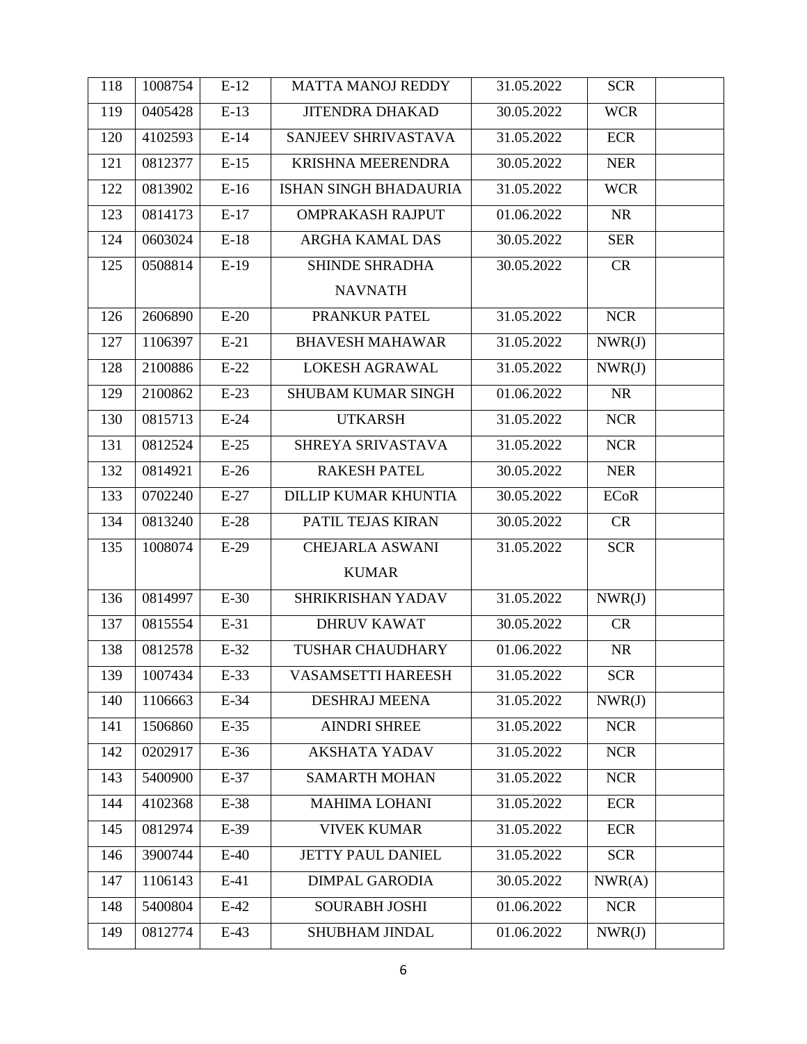| 118 | 1008754 | $E-12$ | <b>MATTA MANOJ REDDY</b>     | 31.05.2022 | <b>SCR</b>  |  |
|-----|---------|--------|------------------------------|------------|-------------|--|
| 119 | 0405428 | $E-13$ | <b>JITENDRA DHAKAD</b>       | 30.05.2022 | <b>WCR</b>  |  |
| 120 | 4102593 | $E-14$ | SANJEEV SHRIVASTAVA          | 31.05.2022 | <b>ECR</b>  |  |
| 121 | 0812377 | $E-15$ | <b>KRISHNA MEERENDRA</b>     | 30.05.2022 | <b>NER</b>  |  |
| 122 | 0813902 | $E-16$ | <b>ISHAN SINGH BHADAURIA</b> | 31.05.2022 | <b>WCR</b>  |  |
| 123 | 0814173 | $E-17$ | <b>OMPRAKASH RAJPUT</b>      | 01.06.2022 | <b>NR</b>   |  |
| 124 | 0603024 | $E-18$ | <b>ARGHA KAMAL DAS</b>       | 30.05.2022 | <b>SER</b>  |  |
| 125 | 0508814 | $E-19$ | <b>SHINDE SHRADHA</b>        | 30.05.2022 | CR          |  |
|     |         |        | <b>NAVNATH</b>               |            |             |  |
| 126 | 2606890 | $E-20$ | PRANKUR PATEL                | 31.05.2022 | <b>NCR</b>  |  |
| 127 | 1106397 | $E-21$ | <b>BHAVESH MAHAWAR</b>       | 31.05.2022 | NWR(J)      |  |
| 128 | 2100886 | $E-22$ | <b>LOKESH AGRAWAL</b>        | 31.05.2022 | NWR(J)      |  |
| 129 | 2100862 | $E-23$ | <b>SHUBAM KUMAR SINGH</b>    | 01.06.2022 | <b>NR</b>   |  |
| 130 | 0815713 | $E-24$ | <b>UTKARSH</b>               | 31.05.2022 | <b>NCR</b>  |  |
| 131 | 0812524 | $E-25$ | SHREYA SRIVASTAVA            | 31.05.2022 | <b>NCR</b>  |  |
| 132 | 0814921 | $E-26$ | <b>RAKESH PATEL</b>          | 30.05.2022 | <b>NER</b>  |  |
| 133 | 0702240 | $E-27$ | <b>DILLIP KUMAR KHUNTIA</b>  | 30.05.2022 | <b>ECoR</b> |  |
| 134 | 0813240 | $E-28$ | PATIL TEJAS KIRAN            | 30.05.2022 | CR          |  |
| 135 | 1008074 | $E-29$ | <b>CHEJARLA ASWANI</b>       | 31.05.2022 | <b>SCR</b>  |  |
|     |         |        | <b>KUMAR</b>                 |            |             |  |
| 136 | 0814997 | $E-30$ | SHRIKRISHAN YADAV            | 31.05.2022 | NWR(J)      |  |
| 137 | 0815554 | $E-31$ | <b>DHRUV KAWAT</b>           | 30.05.2022 | CR          |  |
| 138 | 0812578 | $E-32$ | <b>TUSHAR CHAUDHARY</b>      | 01.06.2022 | <b>NR</b>   |  |
| 139 | 1007434 | $E-33$ | <b>VASAMSETTI HAREESH</b>    | 31.05.2022 | <b>SCR</b>  |  |
| 140 | 1106663 | E-34   | <b>DESHRAJ MEENA</b>         | 31.05.2022 | NWR(J)      |  |
| 141 | 1506860 | $E-35$ | <b>AINDRI SHREE</b>          | 31.05.2022 | <b>NCR</b>  |  |
| 142 | 0202917 | $E-36$ | <b>AKSHATA YADAV</b>         | 31.05.2022 | <b>NCR</b>  |  |
| 143 | 5400900 | $E-37$ | <b>SAMARTH MOHAN</b>         | 31.05.2022 | <b>NCR</b>  |  |
| 144 | 4102368 | E-38   | <b>MAHIMA LOHANI</b>         | 31.05.2022 | <b>ECR</b>  |  |
| 145 | 0812974 | E-39   | <b>VIVEK KUMAR</b>           | 31.05.2022 | <b>ECR</b>  |  |
| 146 | 3900744 | $E-40$ | JETTY PAUL DANIEL            | 31.05.2022 | <b>SCR</b>  |  |
| 147 | 1106143 | $E-41$ | <b>DIMPAL GARODIA</b>        | 30.05.2022 | NWR(A)      |  |
| 148 | 5400804 | $E-42$ | <b>SOURABH JOSHI</b>         | 01.06.2022 | <b>NCR</b>  |  |
| 149 | 0812774 | $E-43$ | SHUBHAM JINDAL               | 01.06.2022 | NWR(J)      |  |
|     |         |        |                              |            |             |  |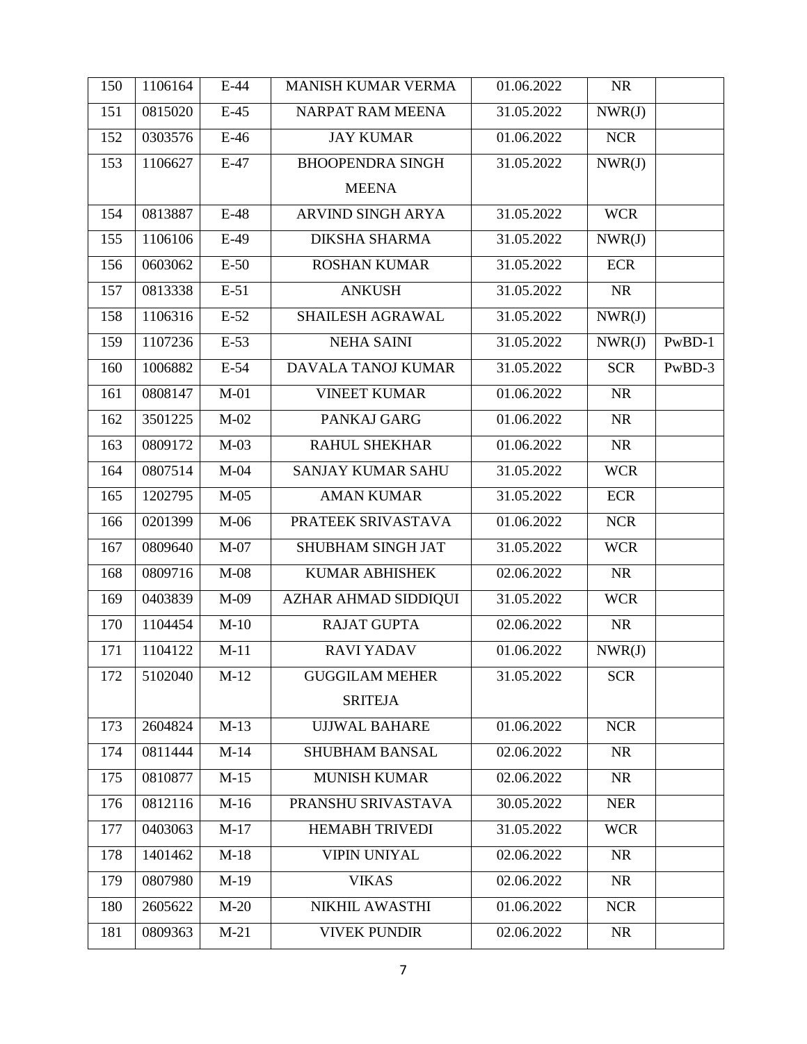| 150 | 1106164 | $E-44$ | <b>MANISH KUMAR VERMA</b> | 01.06.2022 | <b>NR</b>  |          |
|-----|---------|--------|---------------------------|------------|------------|----------|
| 151 | 0815020 | $E-45$ | <b>NARPAT RAM MEENA</b>   | 31.05.2022 | NWR(J)     |          |
| 152 | 0303576 | $E-46$ | <b>JAY KUMAR</b>          | 01.06.2022 | <b>NCR</b> |          |
| 153 | 1106627 | $E-47$ | <b>BHOOPENDRA SINGH</b>   | 31.05.2022 | NWR(J)     |          |
|     |         |        | <b>MEENA</b>              |            |            |          |
| 154 | 0813887 | $E-48$ | ARVIND SINGH ARYA         | 31.05.2022 | <b>WCR</b> |          |
| 155 | 1106106 | $E-49$ | <b>DIKSHA SHARMA</b>      | 31.05.2022 | NWR(J)     |          |
| 156 | 0603062 | $E-50$ | <b>ROSHAN KUMAR</b>       | 31.05.2022 | <b>ECR</b> |          |
| 157 | 0813338 | $E-51$ | <b>ANKUSH</b>             | 31.05.2022 | <b>NR</b>  |          |
| 158 | 1106316 | $E-52$ | SHAILESH AGRAWAL          | 31.05.2022 | NWR(J)     |          |
| 159 | 1107236 | $E-53$ | <b>NEHA SAINI</b>         | 31.05.2022 | NWR(J)     | $PwBD-1$ |
| 160 | 1006882 | $E-54$ | DAVALA TANOJ KUMAR        | 31.05.2022 | <b>SCR</b> | PwBD-3   |
| 161 | 0808147 | $M-01$ | <b>VINEET KUMAR</b>       | 01.06.2022 | <b>NR</b>  |          |
| 162 | 3501225 | $M-02$ | PANKAJ GARG               | 01.06.2022 | <b>NR</b>  |          |
| 163 | 0809172 | $M-03$ | <b>RAHUL SHEKHAR</b>      | 01.06.2022 | <b>NR</b>  |          |
| 164 | 0807514 | $M-04$ | SANJAY KUMAR SAHU         | 31.05.2022 | <b>WCR</b> |          |
| 165 | 1202795 | $M-05$ | <b>AMAN KUMAR</b>         | 31.05.2022 | <b>ECR</b> |          |
| 166 | 0201399 | $M-06$ | PRATEEK SRIVASTAVA        | 01.06.2022 | <b>NCR</b> |          |
| 167 | 0809640 | $M-07$ | SHUBHAM SINGH JAT         | 31.05.2022 | <b>WCR</b> |          |
| 168 | 0809716 | $M-08$ | <b>KUMAR ABHISHEK</b>     | 02.06.2022 | <b>NR</b>  |          |
| 169 | 0403839 | M-09   | AZHAR AHMAD SIDDIQUI      | 31.05.2022 | <b>WCR</b> |          |
| 170 | 1104454 | $M-10$ | <b>RAJAT GUPTA</b>        | 02.06.2022 | <b>NR</b>  |          |
| 171 | 1104122 | $M-11$ | <b>RAVI YADAV</b>         | 01.06.2022 | NWR(J)     |          |
| 172 | 5102040 | $M-12$ | <b>GUGGILAM MEHER</b>     | 31.05.2022 | <b>SCR</b> |          |
|     |         |        | <b>SRITEJA</b>            |            |            |          |
| 173 | 2604824 | $M-13$ | <b>UJJWAL BAHARE</b>      | 01.06.2022 | <b>NCR</b> |          |
| 174 | 0811444 | $M-14$ | <b>SHUBHAM BANSAL</b>     | 02.06.2022 | <b>NR</b>  |          |
| 175 | 0810877 | $M-15$ | <b>MUNISH KUMAR</b>       | 02.06.2022 | <b>NR</b>  |          |
| 176 | 0812116 | $M-16$ | PRANSHU SRIVASTAVA        | 30.05.2022 | <b>NER</b> |          |
| 177 | 0403063 | $M-17$ | <b>HEMABH TRIVEDI</b>     | 31.05.2022 | <b>WCR</b> |          |
| 178 | 1401462 | $M-18$ | <b>VIPIN UNIYAL</b>       | 02.06.2022 | <b>NR</b>  |          |
| 179 | 0807980 | $M-19$ | <b>VIKAS</b>              | 02.06.2022 | <b>NR</b>  |          |
| 180 | 2605622 | $M-20$ | NIKHIL AWASTHI            | 01.06.2022 | <b>NCR</b> |          |
| 181 | 0809363 | $M-21$ | <b>VIVEK PUNDIR</b>       | 02.06.2022 | <b>NR</b>  |          |
|     |         |        |                           |            |            |          |